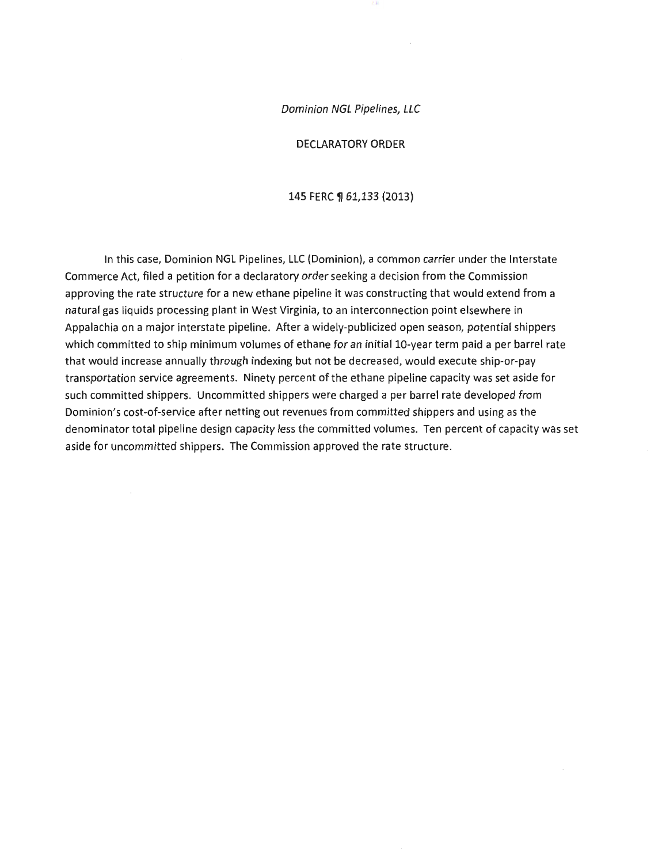Dominion NGL Pipelines, LLC

DECLARATORY ORDER

#### 145 FERC ¶ 61,133 (2013)

In this case, Dominion NGL Pipelines, LLC (Dominion), a common carrier under the Interstate Commerce Act, filed a petition for a declaratory order seeking a decision from the Commission approving the rate structure for a new ethane pipeline it was constructing that would extend from a natural gas liquids processing plant in West Virginia, to an interconnection point elsewhere in Appalachia on a major interstate pipeline. After a widely-publicized open season, potential shippers which committed to ship minimum volumes of ethane for an initial 10-year term paid a per barrel rate that would increase annually through indexing but not be decreased, would execute ship-or-pay transportation service agreements. Ninety percent of the ethane pipeline capacity was set aside for such committed shippers. Uncommitted shippers were charged a per barrel rate developed from Dominion's cost-of-service after netting out revenues from committed shippers and using as the denominator total pipeline design capacity less the committed volumes. Ten percent of capacity was set aside for uncommitted shippers. The Commission approved the rate structure.

 $\cdot$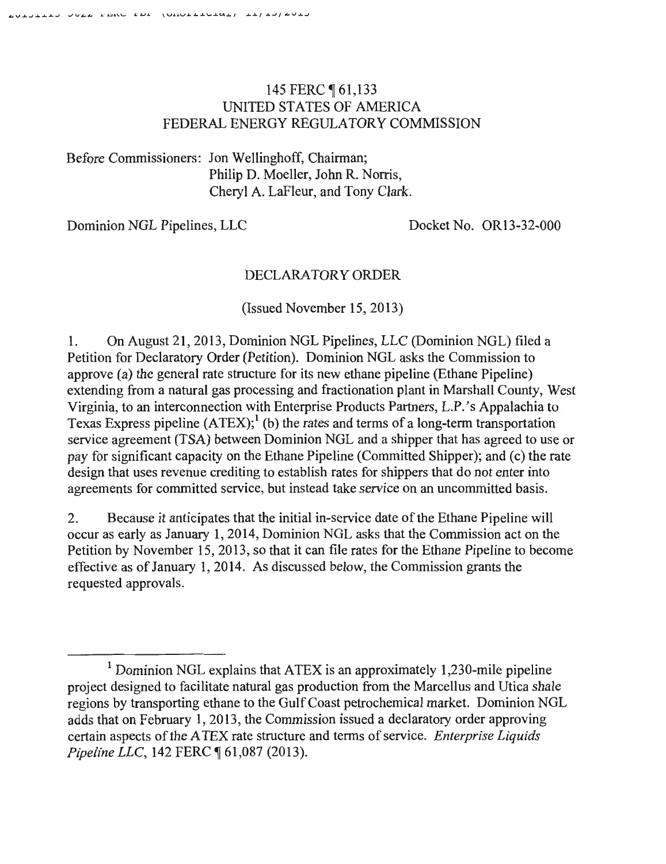# 145 FERC **[61,133** UNITED STATES OF AMERICA FEDERAL ENERGY REGULATORY COMMISSION

Before Commissioners: Jon Wellinghoff, Chairman; Philip D. Moeller, John R. Norris, Cheryl A. LaFleur, and Tony Clark.

Dominion NGL Pipelines, LLC Docket No. OR13-32-000

# DECLARATORY ORDER

(Issued November 15, 2013)

1. On August 21, 2013, Dominion NGL Pipelines, LLC (Dominion NGL) filed a Petition for Declaratory Order (Petition). Dominion NGL asks the Commission to approve (a) the general rate structure for its new ethane pipeline (Ethane Pipeline) extending from a natural gas processing and fractionation plant in Marshall County, West Virginia, to an interconnection with Enterprise Products Partners, L.P. 's Appalachia to Texas Express pipeline  $(ATEX)$ ;<sup>1</sup>(b) the rates and terms of a long-term transportation service agreement (TSA) between Dominion NGL and a shipper that has agreed to use or pay for significant capacity on the Ethane Pipeline (Committed Shipper); and (c) the rate design that uses revenue crediting to establish rates for shippers that do not enter into agreements for committed service, but instead take service on an uncommitted basis.

2. Because it anticipates that the initial in-service date of the Ethane Pipeline will occur as early as January I, 2014, Dominion NGL asks that the Commission act on the Petition by November 15, 2013, so that it can file rates for the Ethane Pipeline to become effective as of January 1, 2014. As discussed below, the Commission grants the requested approvals.

 $1$  Dominion NGL explains that ATEX is an approximately 1,230-mile pipeline project designed to facilitate natural gas production from the Marcellus and Utica shale regions by transporting ethane to the Gulf Coast petrochemical market. Dominion NGL adds that on February 1, 2013, the Commission issued a declaratory order approving certain aspects of the A TEX rate structure and terms of service. *Enterprise Liquids Pipeline LLC, 142 FERC*  $$61,087$  (2013).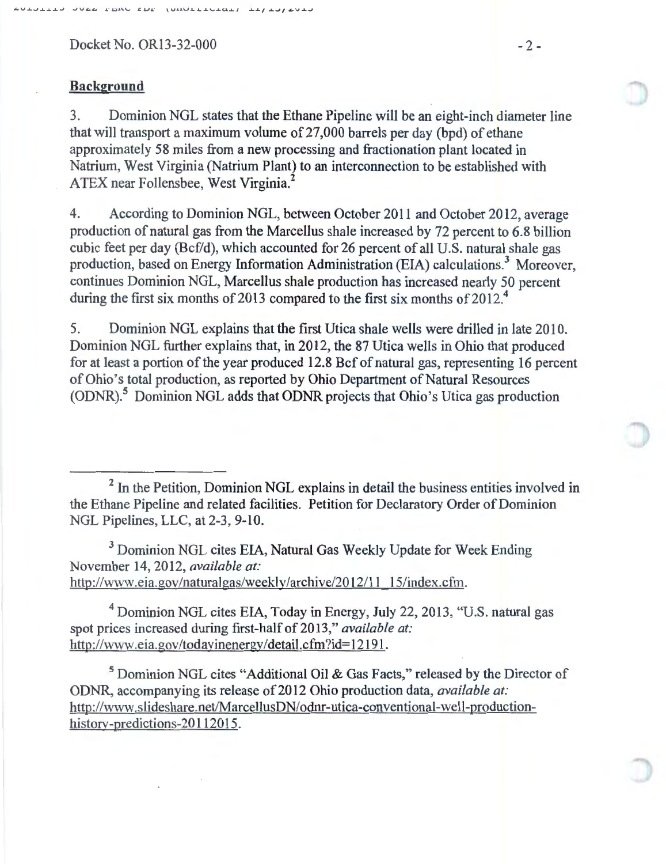Docket No. OR13-32-000 - 2 -

### **Background**

3. Dominion NGL states that the Ethane Pipeline will be an eight-inch diameter line that will transport a maximum volume of 27,000 barrels per day (bpd) of ethane approximately 58 miles from a new processing and fractionation plant located in Natrium, West Virginia (Natrium Plant) to an interconnection to be established with ATEX near Follensbee, West Virginia.<sup>2</sup>

4. According to Dominion NGL, between October 2011 and October 2012, average production of natural gas from the Marcellus shale increased by 72 percent to 6.8 billion cubic feet per day (Bcf/d), which accounted for 26 percent of all U.S. natural shale gas production, based on Energy Information Administration (EIA) calculations.<sup>3</sup> Moreover, continues Dominion NGL, Marcellus shale production has increased nearly 50 percent during the first six months of 2013 compared to the first six months of 2012.<sup>4</sup>

5. Dominion NGL explains that the first Utica shale wells were drilled in late 2010. Dominion NGL further explains that, in 2012, the 87 Utica wells in Ohio that produced for at least a portion of the year produced 12.8 Bcf of natural gas, representing 16 percent of Ohio's total production, as reported by Ohio Department of Natural Resources (ODNR). 5 Dominion NGL adds that ODNR projects that Ohio's Utica gas production

 $<sup>2</sup>$  In the Petition, Dominion NGL explains in detail the business entities involved in</sup> the Ethane Pipeline and related facilities. Petition for Declaratory Order of Dominion NGL Pipelines, LLC, at 2-3, 9-10.

<sup>3</sup> Dominion NGL cites EIA, Natural Gas Weekly Update for Week Ending November 14, 2012, *available at:*  http://www.eia.gov/naturalgas/weekly/archive/20 12/11 15/index.cfm.

4 Dominion NGL cites EIA, Today in Energy, July 22, 2013, "U.S. natural gas spot prices increased during first-half of 2013," *available at:* http://www.eia.gov/todayinenergy/detail.cfm?id=12191.

5 Dominion NGL cites "Additional Oil & Gas Facts," released by the Director of ODNR, accompanying its release of 2012 Ohio production data, *available at:* http://www.slideshare.net/MarcellusDN/odnr-utica-conventional-well-productionhistory-predictions-20112015.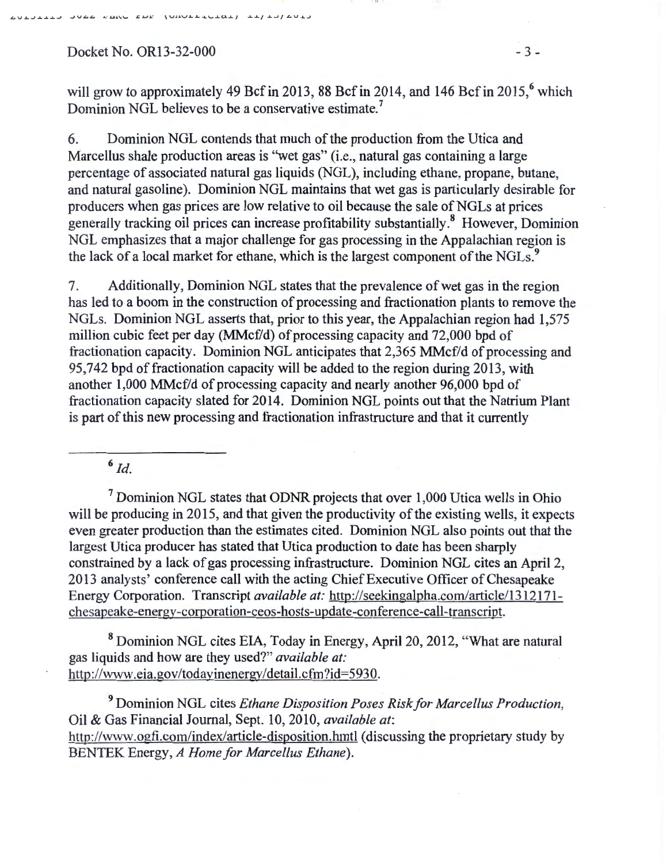$Docket No. OR13-32-000$  - 3 -

V.J.. ...J.J.....L...L-J ....JV~" **.1 . ." .1.:1.1'-'-** *,;J.JJ,.:* **\V.l.&. V..&.....&....J..\,...J..t..L.J.. j** *.J...J..f ..L...Jf* ~V.J...J

will grow to approximately 49 Bcf in 2013, 88 Bcf in 2014, and 146 Bcf in 2015,<sup>6</sup> which Dominion NGL believes to be a conservative estimate.<sup>7</sup>

6. Dominion NGL contends that much of the production from the Utica and Marcellus shale production areas is "wet gas" (i.e., natural gas containing a large percentage of associated natural gas liquids (NGL ), including ethane, propane, butane, and natural gasoline). Dominion NGL maintains that wet gas is particularly desirable for producers when gas prices are low relative to oil because the sale of NGLs at prices generally tracking oil prices can increase profitability substantially.<sup>8</sup> However, Dominion NGL emphasizes that a major challenge for gas processing in the Appalachian region is the lack of a local market for ethane, which is the largest component of the NGLs.<sup>9</sup>

7. Additionally, Dominion NGL states that the prevalence of wet gas in the region has led to a boom in the construction of processing and fractionation plants to remove the NGLs. Dominion NGL asserts that, prior to this year, the Appalachian region had 1,575 million cubic feet per day (MMcf/d) of processing capacity and 72,000 bpd of fractionation capacity. Dominion NGL anticipates that 2,365 MMcf/d of processing and 95,742 bpd of fractionation capacity will be added to the region during 2013, with another 1,000 MMcf/d of processing capacity and nearly another 96,000 bpd of fractionation capacity slated for 2014. Dominion NGL points out that the Natrium Plant is part of this new processing and fractionation infrastructure and that it currently

 $6$  Id.

 $<sup>7</sup>$  Dominion NGL states that ODNR projects that over 1,000 Utica wells in Ohio</sup> will be producing in 2015, and that given the productivity of the existing wells, it expects even greater production than the estimates cited. Dominion NGL also points out that the largest Utica producer has stated that Utica production to date has been sharply constrained by a lack of gas processing infrastructure. Dominion NGL cites an April 2, 2013 analysts' conference call with the acting ChiefExecutive Officer of Chesapeake Energy Corporation. Transcript *available at:* http://seekingalpha.com/article/1312171 chesapeake-energv-corporation-ceos-hosts-update-conference-call-transcript.

8 Dominion NGL cites EIA, Today in Energy, April20, 2012, "What are natural gas liquids and how are they used?" *available at:*  http://www.eia.gov/todavinenergy/detail.cfm?id=5930.

9 Dominion NGL cites *Ethane Disposition Poses Risk for Marcellus Production,*  Oil & Gas Financial Journal, Sept. 10, 2010, *available at:*  http://www.ogfi.com/index/article-disposition.hmtl (discussing the proprietary study by BENTEK Energy, *A Home for Marcellus Ethane).*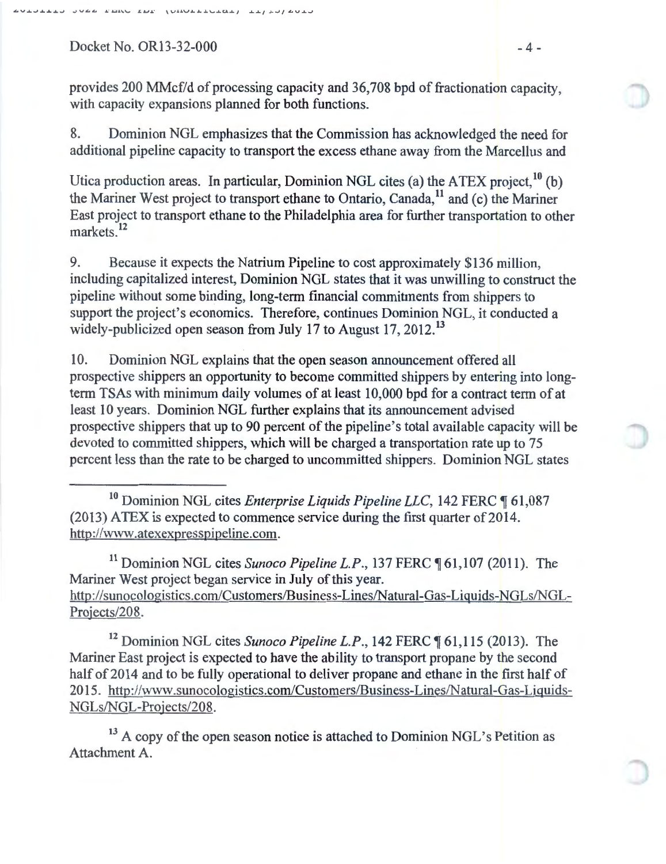$Dacket No. OR 13-32-000$   $-4-$ 

provides 200 MMcf/d of processing capacity and 36,708 bpd of fractionation capacity, with capacity expansions planned for both functions.

8. Dominion NGL emphasizes that the Commission has acknowledged the need for additional pipeline capacity to transport the excess ethane away from the Marcellus and

Utica production areas. In particular, Dominion NGL cites (a) the ATEX project,  $^{10}$  (b) the Mariner West project to transport ethane to Ontario, Canada,<sup>11</sup> and (c) the Mariner East project to transport ethane to the Philadelphia area for further transportation to other markets.<sup>12</sup>

9. Because it expects the Natrium Pipeline to cost approximately \$136 million, including capitalized interest, Dominion NGL states that it was unwilling to construct the pipeline without some binding, long-term financial commitments from shippers to support the project's economics. Therefore, continues Dominion NGL, it conducted a widely-publicized open season from July 17 to August 17, 2012.<sup>13</sup>

10. Dominion NGL explains that the open season announcement offered all prospective shippers an opportunity to become committed shippers by entering into longterm TSAs with minimum daily volumes of at least 10,000 bpd for a contract term of at least 10 years. Dominion NGL further explains that its announcement advised prospective shippers that up to 90 percent of the pipeline's total available capacity will be devoted to committed shippers, which will be charged a transportation rate up to 75 percent less than the rate to be charged to uncommitted shippers. Dominion NGL states

<sup>10</sup> Dominion NGL cites *Enterprise Liquids Pipeline LLC*, 142 FERC 161,087  $(2013)$  ATEX is expected to commence service during the first quarter of 2014. http://www.atexexpresspipeline.com.

<sup>11</sup> Dominion NGL cites *Sunoco Pipeline L.P.*, 137 FERC ¶ 61,107 (2011). The Mariner West project began service in July of this year. http://sunocologistics.com/Customers/Business-Lines/Natural-Gas-Liquids-NGLs/NGL-Projects/208.

<sup>12</sup> Dominion NGL cites *Sunoco Pipeline L.P.*, 142 FERC ¶ 61,115 (2013). The Mariner East project is expected to have the ability to transport propane by the second half of 2014 and to be fully operational to deliver propane and ethane in the first half of 2015. http://www.sunocologistics.com/Customers/Business-Lines/Natural-Gas-Liquids-NGLs/NGL-Projects/208.

 $13$  A copy of the open season notice is attached to Dominion NGL's Petition as Attachment A.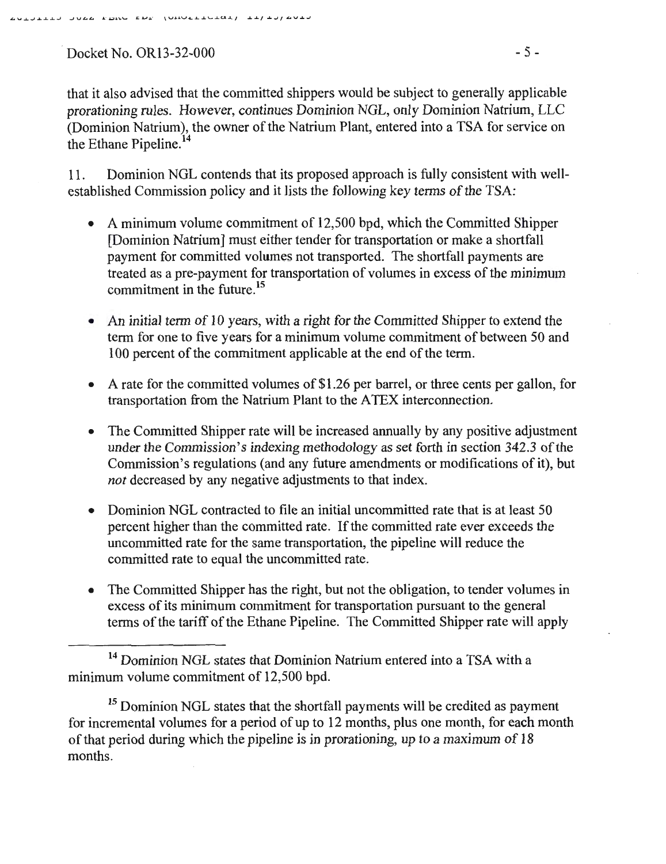Docket No. OR13-32-000 - 5 -

11. Dominion NGL contends that its proposed approach is fully consistent with wellestablished Commission policy and it lists the following key terms of the TSA:

- A minimum volume commitment of 12,500 bpd, which the Committed Shipper [Dominion Natrium] must either tender for transportation or make a shortfall payment for committed volumes not transported. The shortfall payments are treated as a pre-payment for transportation of volumes in excess of the minimum commitment in the future.<sup>15</sup>
- An initial term of 10 years, with a right for the Committed Shipper to extend the term for one to five years for a minimum volume commitment of between 50 and 100 percent of the commitment applicable at the end of the term.
- A rate for the committed volumes of \$1.26 per barrel, or three cents per gallon, for transportation from the Natrium Plant to the A TEX interconnection.
- The Committed Shipper rate will be increased annually by any positive adjustment under the Commission's indexing methodology as set forth in section 342.3 of the Commission's regulations (and any future amendments or modifications of it), but *not* decreased by any negative adjustments to that index.
- Dominion NGL contracted to file an initial uncommitted rate that is at least 50 percent higher than the committed rate. If the committed rate ever exceeds the uncommitted rate for the same transportation, the pipeline will reduce the committed rate to equal the uncommitted rate.
- The Committed Shipper has the right, but not the obligation, to tender volumes in excess of its minimum commitment for transportation pursuant to the general terms of the tariff of the Ethane Pipeline. The Committed Shipper rate will apply

<sup>15</sup> Dominion NGL states that the shortfall payments will be credited as payment for incremental volumes for a period of up to 12 months, plus one month, for each month of that period during which the pipeline is in prorationing, up to a maximum of 18 months.

<sup>&</sup>lt;sup>14</sup> Dominion NGL states that Dominion Natrium entered into a TSA with a minimum volume commitment of 12,500 bpd.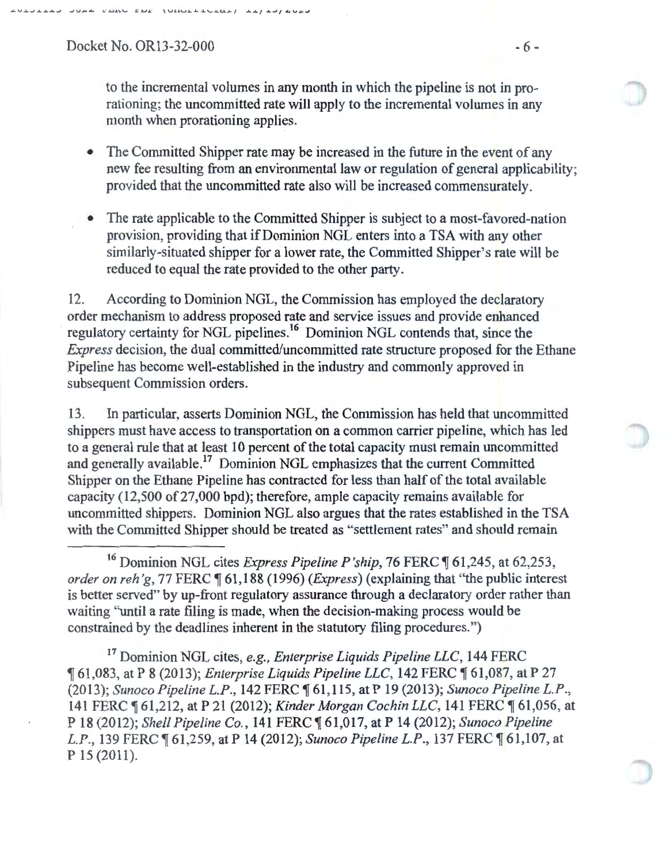Docket No. OR13-32-000 - 6 -

to the incremental volumes in any month in which the pipeline is not in prorationing; the uncommitted rate will apply to the incremental volumes in any month when prorationing applies.

- The Committed Shipper rate may be increased in the future in the event of any new fee resulting from an environmental law or regulation of general applicability; provided that the uncommitted rate also will be increased commensurately.
- The rate applicable to the Committed Shipper is subject to a most-favored-nation provision, providing that if Dominion NGL enters into a TSA with any other similarly-situated shipper for a lower rate, the Committed Shipper's rate will be reduced to equal the rate provided to the other party.

12. According to Dominion NGL, the Commission has employed the declaratory order mechanism to address proposed rate and service issues and provide enhanced regulatory certainty for NGL pipelines.<sup>16</sup> Dominion NGL contends that, since the *Express* decision, the dual committed/uncommitted rate structure proposed for the Ethane Pipeline has become well-established in the industry and commonly approved in subsequent Commission orders.

13. In particular, asserts Dominion NGL, the Commission has held that uncommitted shippers must have access to transportation on a common carrier pipeline, which has led to a general rule that at least 10 percent of the total capacity must remain uncommitted and generally available.<sup>17</sup> Dominion NGL emphasizes that the current Committed Shipper on the Ethane Pipeline has contracted for less than half of the total available capacity (12,500 of27,000 bpd); therefore, ample capacity remains available for uncommitted shippers. Dominion NGL also argues that the rates established in the TSA with the Committed Shipper should be treated as "settlement rates" and should remain

17 Dominion NGL cites, *e.g., Enterprise Liquids Pipeline LLC,* 144 FERC <sup>~</sup>61,083, at P 8 (2013); *Enterprise Liquids Pipeline LLC,* 142 FERC ~ 61,087, at P 27 (2013); *Sunoco Pipeline L.P.*, 142 FERC  $\llbracket 61,115,$  at P 19 (2013); *Sunoco Pipeline L.P.*, 141 FERC  $\llbracket 61,212,$  at P 21 (2012); *Kinder Morgan Cochin LLC*, 141 FERC  $\llbracket 61,056,$  at P 18 (2012); *Shell Pipeline Co.,* 141 FERC ~ 61 ,017, at P 14 (2012); *Sunoco Pipeline L.P.*, 139 FERC  $\text{$\P{61,259}$, at P 14 (2012)}$ ; *Sunoco Pipeline L.P.*, 137 FERC  $\text{$\P{61,107}$, at }$ p 15 (2011).

<sup>&</sup>lt;sup>16</sup> Dominion NGL cites *Express Pipeline P'ship*, 76 FERC ¶ 61,245, at 62,253, *order on reh'g, 77 FERC*  $\P$  61,188 (1996) *(Express)* (explaining that "the public interest is better served" by up-front regulatory assurance through a declaratory order rather than waiting "until a rate filing is made, when the decision-making process would be constrained by the deadlines inherent in the statutory filing procedures.")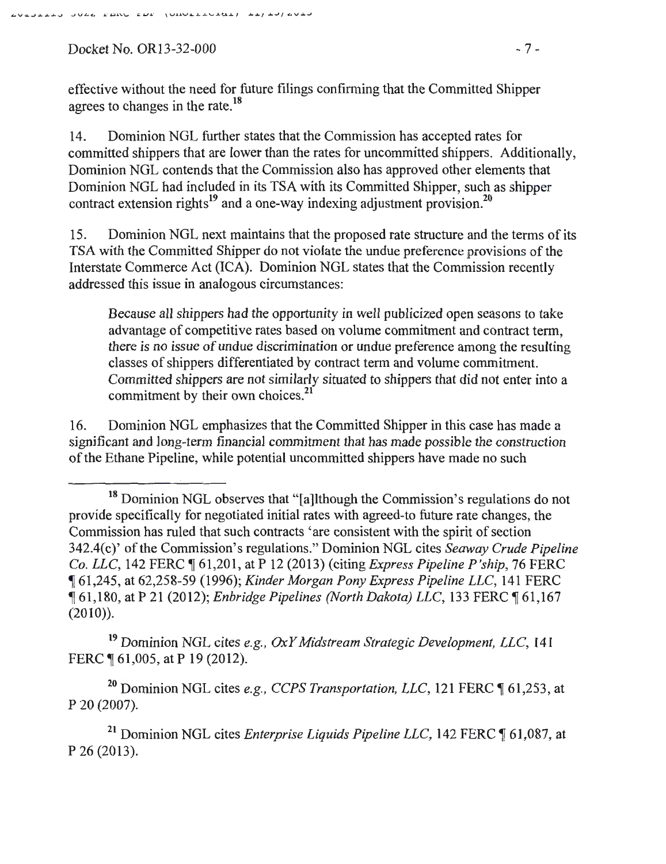Docket No. OR13-32-000 - 7 -

effective without the need for future filings confirming that the Committed Shipper agrees to changes in the rate.<sup>18</sup>

14. Dominion NGL further states that the Commission has accepted rates for committed shippers that are lower than the rates for uncommitted shippers. Additionally, Dominion NGL contends that the Commission also has approved other elements that Dominion NGL had included in its TSA with its Committed Shipper, such as shipper contract extension rights<sup>19</sup> and a one-way indexing adjustment provision.<sup>20</sup>

15. Dominion NGL next maintains that the proposed rate structure and the terms of its TSA with the Committed Shipper do not violate the undue preference provisions of the Interstate Commerce Act (ICA). Dominion NGL states that the Commission recently addressed this issue in analogous circumstances:

Because all shippers had the opportunity in well publicized open seasons to take advantage of competitive rates based on volume commitment and contract term, there is no issue of undue discrimination or undue preference among the resulting classes of shippers differentiated by contract term and volume commitment. Committed shippers are not similarly situated to shippers that did not enter into a commitment by their own choices.<sup>21</sup>

16. Dominion NGL emphasizes that the Committed Shipper in this case has made a significant and long-term fmancial commitment that has made possible the construction of the Ethane Pipeline, while potential uncommitted shippers have made no such

19 Dominion NGL cites *e.g. , OxY Midstream Strategic Development, LLC,* 141 FERC ¶ 61,005, at P 19 (2012).

<sup>20</sup> Dominion NGL cites *e.g., CCPS Transportation, LLC*, 121 FERC ¶ 61,253, at P 20 (2007)

<sup>21</sup> Dominion NGL cites *Enterprise Liquids Pipeline LLC*, 142 FER.C [61,087, at p 26 (2013).

<sup>&</sup>lt;sup>18</sup> Dominion NGL observes that "[a]lthough the Commission's regulations do not provide specifically for negotiated initial rates with agreed-to future rate changes, the Commission has ruled that such contracts 'are consistent with the spirit of section 342.4(c)' of the Commission's regulations." Dominion NGL cites *Seaway Crude Pipeline Co. LLC, 142 FERC*  $\parallel$  61,201, at P 12 (2013) (citing *Express Pipeline P'ship*, 76 FERC <sup>~</sup>61,245, at 62,258-59 (1996); *Kinder Morgan Pony Express Pipeline LLC,* 141 FERC <sup>~</sup>61,180, at P 21 (2012); *Enbridge Pipelines (North Dakota) LLC,* 133 FERC ~ 61 ,1 67  $(2010)$ ).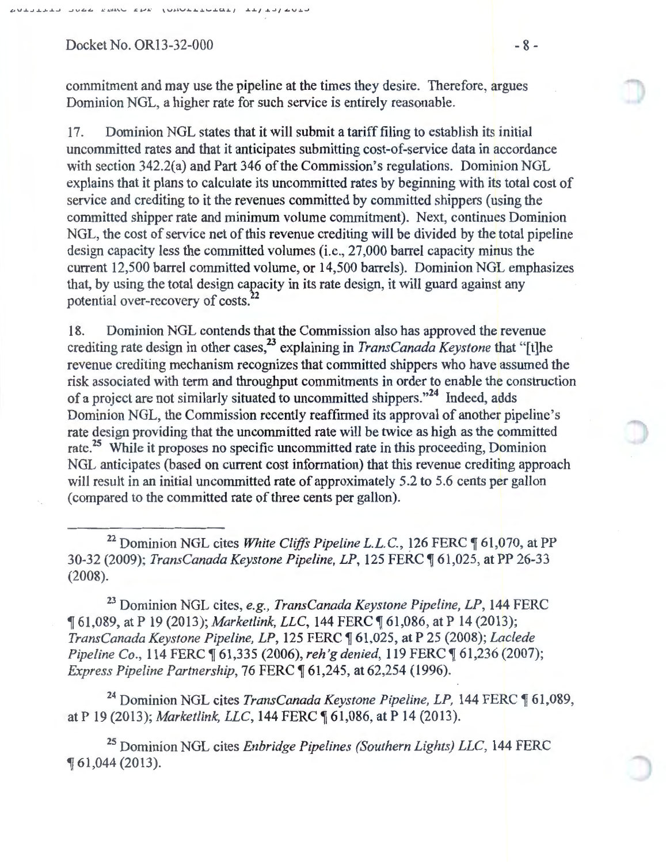$Docket No. OR13-32-000$  - 8 -

commitment and may use the pipeline at the times they desire. Therefore, argues Dominion NGL, a higher rate for such service is entirely reasonable.

17. Dominion NGL states that it will submit a tariff filing to establish its initial uncommitted rates and that it anticipates submitting cost-of-service data in accordance with section 342.2(a) and Part 346 of the Commission's regulations. Dominion NGL explains that it plans to calculate its uncommitted rates by beginning with its total cost of service and crediting to it the revenues committed by committed shippers (using the committed shipper rate and minimum volume commitment). Next, continues Dominion NGL, the cost of service net of this revenue crediting will be divided by the total pipeline design capacity less the committed volumes (i.e., 27,000 barrel capacity minus the current 12,500 barrel committed volume, or 14,500 barrels). Dominion NGL emphasizes that, by using the total design capacity in its rate design, it will guard against any potential over-recovery of costs.<sup>22</sup>

18. Dominion NGL contends that the Commission also has approved the revenue crediting rate design in other cases,<sup>23</sup> explaining in *TransCanada Keystone* that "[t]he revenue crediting mechanism recognizes that committed shippers who have assumed the risk associated with term and throughput commitments in order to enable the construction of a project are not similarly situated to uncommitted shippers."24 Indeed, adds Dominion NGL, the Commission recently reaffirmed its approval of another pipeline's rate design providing that the uncommitted rate will be twice as high as the committed rate.<sup>25</sup> While it proposes no specific uncommitted rate in this proceeding, Dominion NGL anticipates (based on current cost information) that this revenue crediting approach will result in an initial uncommitted rate of approximately 5.2 to 5.6 cents per gallon (compared to the committed rate of three cents per gallon).

<sup>22</sup> Dominion NGL cites *White Cliffs Pipeline L.L.C.*, 126 FERC ¶ 61,070, at PP 30-32 (2009); *TransCanada Keystone Pipeline, LP*, 125 FERC ¶ 61,025, at PP 26-33 (2008).

<sup>23</sup> Dominion NGL cites, *e.g., TransCanada Keystone Pipeline, LP*, 144 FERC <sup>~</sup>61,089, at P 19 (2013); *Market/ink, LLC,* 144 FERC ~ 61,086, at P 14 (2013); *TransCanada Keystone Pipeline, LP,* 125 FERC ~ 61,025, at P 25 (2008); *Laclede Pipeline Co.,* 114 FERC  $\llbracket 61,335$  (2006), *reh'g denied*, 119 FERC  $\llbracket 61,236$  (2007); *Express Pipeline Partnership, 76 FERC*  $\sqrt{61,245}$ , at 62,254 (1996).

<sup>24</sup> Dominion NGL cites *TransCanada Keystone Pipeline, LP*, 144 FERC ¶ 61,089, at P 19 (2013); *Marketlink, LLC*, 144 FERC ¶ 61,086, at P 14 (2013).

<sup>25</sup> Dominion NGL cites *Enbridge Pipelines (Southern Lights) LLC*, 144 FERC <sup>~</sup>61 ,044 (2013).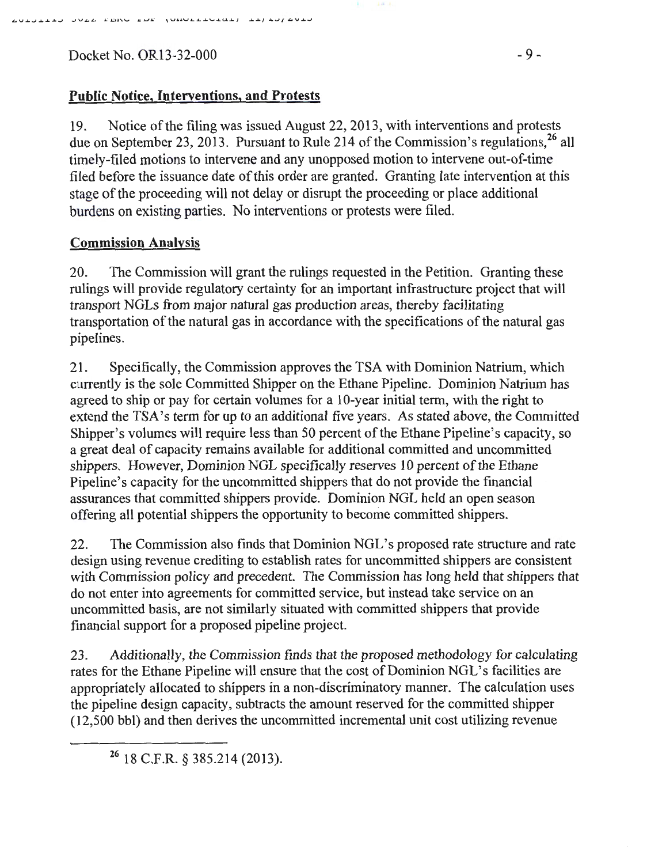$Docket No. OR 13-32-000$  - 9 -

# **Public Notice, Interventions, and Protests**

19. Notice ofthe filing was issued August 22, 2013, with interventions and protests due on September 23, 2013. Pursuant to Rule 214 of the Commission's regulations,<sup>26</sup> all timely-filed motions to intervene and any unopposed motion to intervene out-of-time filed before the issuance date of this order are granted. Granting late intervention at this stage of the proceeding will not delay or disrupt the proceeding or place additional burdens on existing parties. No interventions or protests were filed.

## **Commission Analysis**

20. The Commission will grant the rulings requested in the Petition. Granting these rulings will provide regulatory certainty for an important infrastructure project that will transport NGLs from major natural gas production areas, thereby facilitating transportation of the natural gas in accordance with the specifications of the natural gas pipelines.

21. Specifically, the Commission approves the TSA with Dominion Natrium, which currently is the sole Committed Shipper on the Ethane Pipeline. Dominion Natrium has agreed to ship or pay for certain volumes for a 10-year initial term, with the right to extend the TSA's term for up to an additional five years. As stated above, the Committed Shipper's volumes will require less than 50 percent of the Ethane Pipeline's capacity, so a great deal of capacity remains available for additional committed and uncommitted shippers. However, Dominion NGL specifically reserves 10 percent of the Ethane Pipeline's capacity for the uncommitted shippers that do not provide the financial assurances that committed shippers provide. Dominion NGL held an open season offering all potential shippers the opportunity to become committed shippers.

22. The Commission also finds that Dominion NGL's proposed rate structure and rate design using revenue crediting to establish rates for uncommitted shippers are consistent with Commission policy and precedent. The Commission has long held that shippers that do not enter into agreements for committed service, but instead take service on an uncommitted basis, are not similarly situated with committed shippers that provide financial support for a proposed pipeline project.

23. Additionally, the Commission finds that the proposed methodology for calculating rates for the Ethane Pipeline will ensure that the cost of Dominion NGL's facilities are appropriately allocated to shippers in a non-discriminatory manner. The calculation uses the pipeline design capacity, subtracts the amount reserved for the committed shipper (12,500 bbl) and then derives the uncommitted incremental unit cost utilizing revenue

26 18 C.F.R. § 385.214 (2013).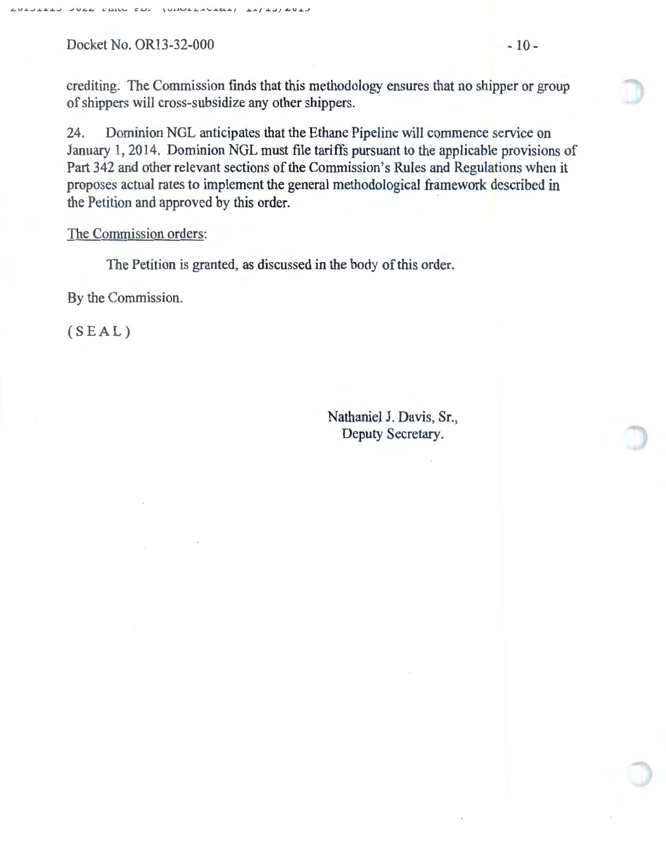Docket No. OR13-32-000 - 10 -

24. Dominion NGL anticipates that the Ethane Pipeline will commence service on January 1, 2014. Dominion NGL must file tariffs pursuant to the applicable provisions of Part 342 and other relevant sections of the Commission's Rules and Regulations when it proposes actual rates to implement the general methodological framework described in the Petition and approved by this order.

## The Commission orders:

The Petition is granted, as discussed in the body of this order.

By the Commission.

(SEAL)

Nathaniel J. Davis, Sr., Deputy Secretary.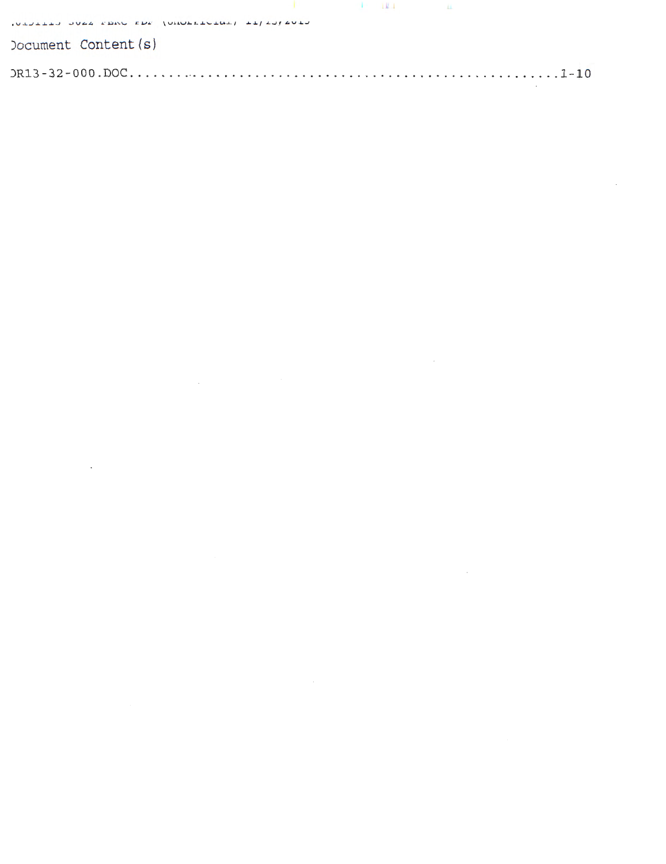|                      |                                               | the contract of the contract of the contract of the contract of the contract of the contract of the contract of |  |
|----------------------|-----------------------------------------------|-----------------------------------------------------------------------------------------------------------------|--|
|                      | NEULLED JUSS FEAL FOR JUNCELLULARY LE/LU/SULU |                                                                                                                 |  |
| Document Content (s) |                                               |                                                                                                                 |  |
|                      |                                               |                                                                                                                 |  |

 $\label{eq:2.1} \frac{1}{\sqrt{2\pi}}\int_{\mathbb{R}^3}\frac{1}{\sqrt{2\pi}}\int_{\mathbb{R}^3}\frac{1}{\sqrt{2\pi}}\int_{\mathbb{R}^3}\frac{1}{\sqrt{2\pi}}\int_{\mathbb{R}^3}\frac{1}{\sqrt{2\pi}}\int_{\mathbb{R}^3}\frac{1}{\sqrt{2\pi}}\int_{\mathbb{R}^3}\frac{1}{\sqrt{2\pi}}\int_{\mathbb{R}^3}\frac{1}{\sqrt{2\pi}}\int_{\mathbb{R}^3}\frac{1}{\sqrt{2\pi}}\int_{\mathbb{R}^3}\frac{1$ 

 $\mathcal{L}^{\text{max}}_{\text{max}}$  . The  $\mathcal{L}^{\text{max}}_{\text{max}}$ 

 $\label{eq:2.1} \frac{1}{\sqrt{2}}\left(\frac{1}{\sqrt{2}}\right)^{2} \left(\frac{1}{\sqrt{2}}\right)^{2} \left(\frac{1}{\sqrt{2}}\right)^{2} \left(\frac{1}{\sqrt{2}}\right)^{2} \left(\frac{1}{\sqrt{2}}\right)^{2} \left(\frac{1}{\sqrt{2}}\right)^{2} \left(\frac{1}{\sqrt{2}}\right)^{2} \left(\frac{1}{\sqrt{2}}\right)^{2} \left(\frac{1}{\sqrt{2}}\right)^{2} \left(\frac{1}{\sqrt{2}}\right)^{2} \left(\frac{1}{\sqrt{2}}\right)^{2} \left(\$ 

 $\label{eq:2.1} \frac{1}{\sqrt{2}}\int_{\mathbb{R}^3}\frac{1}{\sqrt{2}}\left(\frac{1}{\sqrt{2}}\right)^2\frac{1}{\sqrt{2}}\left(\frac{1}{\sqrt{2}}\right)^2\frac{1}{\sqrt{2}}\left(\frac{1}{\sqrt{2}}\right)^2.$